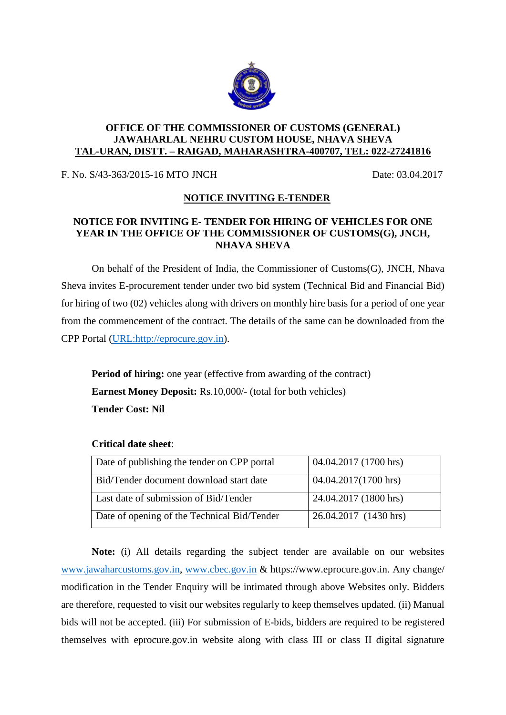

#### **OFFICE OF THE COMMISSIONER OF CUSTOMS (GENERAL) JAWAHARLAL NEHRU CUSTOM HOUSE, NHAVA SHEVA TAL-URAN, DISTT. – RAIGAD, MAHARASHTRA-400707, TEL: 022-27241816**

F. No. S/43-363/2015-16 MTO JNCH Date: 03.04.2017

# **NOTICE INVITING E-TENDER**

## **NOTICE FOR INVITING E- TENDER FOR HIRING OF VEHICLES FOR ONE YEAR IN THE OFFICE OF THE COMMISSIONER OF CUSTOMS(G), JNCH, NHAVA SHEVA**

On behalf of the President of India, the Commissioner of Customs(G), JNCH, Nhava Sheva invites E-procurement tender under two bid system (Technical Bid and Financial Bid) for hiring of two (02) vehicles along with drivers on monthly hire basis for a period of one year from the commencement of the contract. The details of the same can be downloaded from the CPP Portal [\(URL:http://eprocure.gov.in\)](http://eprocure.gov.in/).

**Period of hiring:** one year (effective from awarding of the contract) **Earnest Money Deposit:** Rs.10,000/- (total for both vehicles) **Tender Cost: Nil**

| Date of publishing the tender on CPP portal | 04.04.2017 (1700 hrs) |
|---------------------------------------------|-----------------------|
| Bid/Tender document download start date     | 04.04.2017(1700 hrs)  |
| Last date of submission of Bid/Tender       | 24.04.2017 (1800 hrs) |
| Date of opening of the Technical Bid/Tender | 26.04.2017 (1430 hrs) |

## **Critical date sheet**:

**Note:** (i) All details regarding the subject tender are available on our websites [www.jawaharcustoms.gov.in,](http://www.jawaharcustoms.gov.in/) [www.cbec.gov.in](http://www.cbec.gov.in/) & https://www.eprocure.gov.in. Any change/ modification in the Tender Enquiry will be intimated through above Websites only. Bidders are therefore, requested to visit our websites regularly to keep themselves updated. (ii) Manual bids will not be accepted. (iii) For submission of E-bids, bidders are required to be registered themselves with eprocure.gov.in website along with class III or class II digital signature